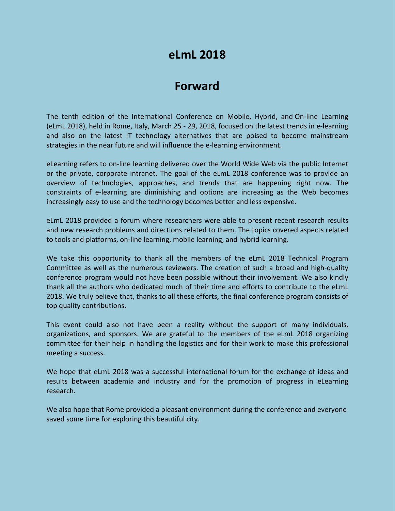# **eLmL 2018**

# **Forward**

The tenth edition of the International Conference on Mobile, Hybrid, and On-line Learning (eLmL 2018), held in Rome, Italy, March 25 - 29, 2018, focused on the latest trends in e-learning and also on the latest IT technology alternatives that are poised to become mainstream strategies in the near future and will influence the e-learning environment.

eLearning refers to on-line learning delivered over the World Wide Web via the public Internet or the private, corporate intranet. The goal of the eLmL 2018 conference was to provide an overview of technologies, approaches, and trends that are happening right now. The constraints of e-learning are diminishing and options are increasing as the Web becomes increasingly easy to use and the technology becomes better and less expensive.

eLmL 2018 provided a forum where researchers were able to present recent research results and new research problems and directions related to them. The topics covered aspects related to tools and platforms, on-line learning, mobile learning, and hybrid learning.

We take this opportunity to thank all the members of the eLmL 2018 Technical Program Committee as well as the numerous reviewers. The creation of such a broad and high-quality conference program would not have been possible without their involvement. We also kindly thank all the authors who dedicated much of their time and efforts to contribute to the eLmL 2018. We truly believe that, thanks to all these efforts, the final conference program consists of top quality contributions.

This event could also not have been a reality without the support of many individuals, organizations, and sponsors. We are grateful to the members of the eLmL 2018 organizing committee for their help in handling the logistics and for their work to make this professional meeting a success.

We hope that eLmL 2018 was a successful international forum for the exchange of ideas and results between academia and industry and for the promotion of progress in eLearning research.

We also hope that Rome provided a pleasant environment during the conference and everyone saved some time for exploring this beautiful city.